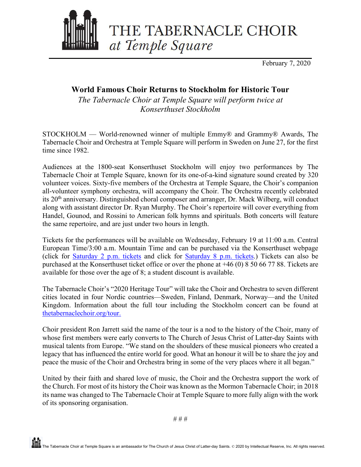

February 7, 2020

## **World Famous Choir Returns to Stockholm for Historic Tour**

*The Tabernacle Choir at Temple Square will perform twice at Konserthuset Stockholm*

STOCKHOLM — World-renowned winner of multiple Emmy® and Grammy® Awards, The Tabernacle Choir and Orchestra at Temple Square will perform in Sweden on June 27, for the first time since 1982.

Audiences at the 1800-seat Konserthuset Stockholm will enjoy two performances by The Tabernacle Choir at Temple Square, known for its one-of-a-kind signature sound created by 320 volunteer voices. Sixty-five members of the Orchestra at Temple Square, the Choir's companion all-volunteer symphony orchestra, will accompany the Choir. The Orchestra recently celebrated its 20th anniversary. Distinguished choral composer and arranger, Dr. Mack Wilberg, will conduct along with assistant director Dr. Ryan Murphy. The Choir's repertoire will cover everything from Handel, Gounod, and Rossini to American folk hymns and spirituals. Both concerts will feature the same repertoire, and are just under two hours in length.

Tickets for the performances will be available on Wednesday, February 19 at 11:00 a.m. Central European Time/3:00 a.m. Mountain Time and can be purchased via the Konserthuset webpage (click for [Saturday 2 p.m. tickets](https://www.konserthuset.se/en/programme/calendar/external-concert/2020/the-tabernacle-choir-at-temple-square/20200627-1400/) and click for [Saturday 8 p.m. tickets.](https://www.konserthuset.se/en/programme/calendar/external-concert/2020/the-tabernacle-choir-at-temple-square/20200627-2000/)) Tickets can also be purchased at the Konserthuset ticket office or over the phone at +46 (0) 8 50 66 77 88. Tickets are available for those over the age of 8; a student discount is available.

The Tabernacle Choir's "2020 Heritage Tour" will take the Choir and Orchestra to seven different cities located in four Nordic countries—Sweden, Finland, Denmark, Norway—and the United Kingdom. Information about the full tour including the Stockholm concert can be found at [thetabernaclechoir.org/tour.](https://www.thetabernaclechoir.org/tour)

Choir president Ron Jarrett said the name of the tour is a nod to the history of the Choir, many of whose first members were early converts to The Church of Jesus Christ of Latter-day Saints with musical talents from Europe. "We stand on the shoulders of these musical pioneers who created a legacy that has influenced the entire world for good. What an honour it will be to share the joy and peace the music of the Choir and Orchestra bring in some of the very places where it all began."

United by their faith and shared love of music, the Choir and the Orchestra support the work of the Church. For most of its history the Choir was known as the Mormon Tabernacle Choir; in 2018 its name was changed to The Tabernacle Choir at Temple Square to more fully align with the work of its sponsoring organisation.